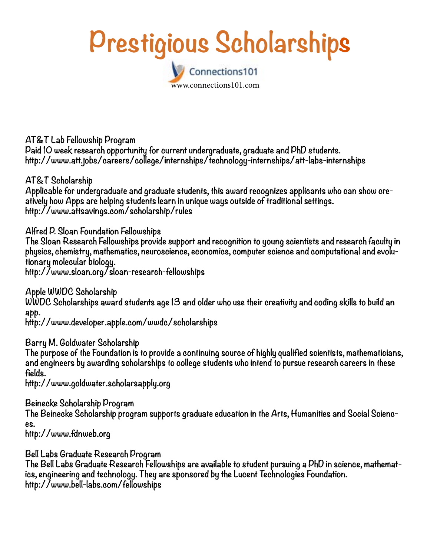## Prestigious Scholarships Connections101

www.connections101.com

**AT&T Lab Fellowship Program Paid 10 week research opportunity for current undergraduate, graduate and PhD students. http://www.att.jobs/careers/college/internships/technology-internships/att-labs-internships**

**AT&T Scholarship Applicable for undergraduate and graduate students, this award recognizes applicants who can show creatively how Apps are helping students learn in unique ways outside of traditional settings. http://www.attsavings.com/scholarship/rules**

**Alfred P. Sloan Foundation Fellowships The Sloan Research Fellowships provide support and recognition to young scientists and research faculty in physics, chemistry, mathematics, neuroscience, economics, computer science and computational and evolutionary molecular biology. http://www.sloan.org/sloan-research-fellowships** 

**Apple WWDC Scholarship WWDC Scholarships award students age 13 and older who use their creativity and coding skills to build an app.**

**http://www.developer.apple.com/wwdc/scholarships**

**Barry M. Goldwater Scholarship**

**The purpose of the Foundation is to provide a continuing source of highly qualified scientists, mathematicians, and engineers by awarding scholarships to college students who intend to pursue research careers in these fields.**

**http://www.goldwater.scholarsapply.org**

**Beinecke Scholarship Program The Beinecke Scholarship program supports graduate education in the Arts, Humanities and Social Sciences.**

**http://www.fdnweb.org**

**Bell Labs Graduate Research Program**

**The Bell Labs Graduate Research Fellowships are available to student pursuing a PhD in science, mathematics, engineering and technology. They are sponsored by the Lucent Technologies Foundation. http://www.bell-labs.com/fellowships**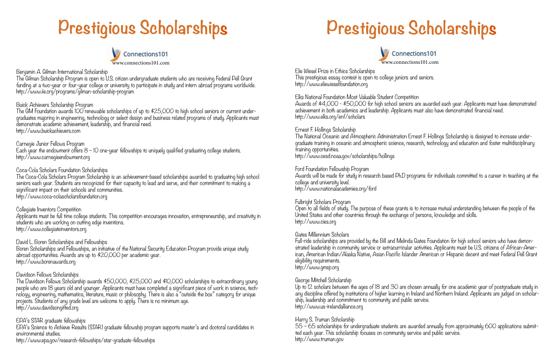

#### Benjamin A. Gilman International Scholarship

The Gilman Scholarship Program is open to U.S. citizen undergraduate students who are receiving Federal Pell Grant funding at a two-year or four-year college or university to participate in study and intern abroad programs worldwide. http://www.iie.org/programs/gilman-scholarship-program

#### Buick Achievers Scholarship Program

The GM Foundation awards 100 renewable scholarships of up to \$25,000 to high school seniors or current undergraduates majoring in engineering, technology or select design and business related programs of study. Applicants must demonstrate academic achievement, leadership, and financial need. http://www.buickachievers.com

Carnegie Junior Fellows Program

Each year the endowment offers 8 – 10 one-year fellowships to uniquely qualified graduating college students. http://www.carnegieendowment.org

The Davidson Fellows Scholarship awards \$50,000, \$25,000 and \$10,000 scholarships to extraordinary young people who are 18 years old and younger. Applicants must have completed a significant piece of work in science, technology, engineering, mathematics, literature, music or philosophy. There is also a "outside the box" category for unique projects. Students of any grade level are welcome to apply. There is no minimum age. http://www.davidsongifted.org

#### Coca-Cola Scholars Foundation Scholarships

The Coca-Cola Scholars Program Scholarship is an achievement-based scholarships awarded to graduating high school seniors each year. Students are recognized for their capacity to lead and serve, and their commitment to making a significant impact on their schools and communities. http://www.coca-colascholarsfoundation.org

#### Collegiate Inventors Competition

Applicants must be full time college students. This competition encourages innovation, entrepreneurship, and creativity in students who are working on cutting edge inventions. http://www.collegiateinventors.org

David L. Boren Scholarships and Fellowships

Boren Scholarships and Fellowships, an initiative of the National Security Education Program provide unique study abroad opportunities. Awards are up to \$20,000 per academic year. http://www.borenawards.org

#### Davidson Fellows Scholarships

Up to 12 scholars between the ages of 18 and 30 are chosen annually for one academic year of postgraduate study in any discipline offered by institutions of higher learning in Ireland and Northern Ireland. Applicants are judged on scholarship, leadership and commitment to community and public service. http://www.us-irelandalliance.org

#### EPA's STAR graduate fellowships

EPA's Science to Achieve Results (STAR) graduate fellowship program supports master's and doctoral candidates in environmental studies.

http://www.epa.gov/research-fellowships/star-graduate-fellowships

## Prestigious Scholarships Prestigious Scholarships



Elie Wiesel Prize in Ethics Scholarships This prestigious essay contest is open to college juniors and seniors. http://www.eliewieselfoundation.org

Elks National Foundation Most Valuable Student Competition Awards of \$4,000 - \$50,000 for high school seniors are awarded each year. Applicants must have demonstrated achievement in both academics and leadership. Applicants must also have demonstrated financial need. http://www.elks.org/enf/scholars

Ernest F. Hollings Scholarship The National Oceanic and Atmospheric Administration Ernest F. Hollings Scholarship is designed to increase undergraduate training in oceanic and atmospheric science, research, technology and education and foster multidisciplinary training opportunities. http://www.oesd.noaa.gov/scholarships/hollings

Ford Foundation Fellowship Program Awards will be made for study in research based Ph.D programs for individuals committed to a career in teaching at the college and university level. http://www.nationalacademies.org/ford

Fulbright Scholars Program Open to all fields of study. The purpose of these grants is to increase mutual understanding between the people of the United States and other countries through the exchange of persons, knowledge and skills. http://www.cies.org

#### Gates Millennium Scholars

Full-ride scholarships are provided by the Bill and Melinda Gates Foundation for high school seniors who have demonstrated leadership in community service or extracurricular activities. Applicants must be U.S. citizens of African-American, American Indian/Alaska Native, Asian Pacific Islander American or Hispanic decent and meet Federal Pell Grant eligibility requirements. http://www.gmsp.org

#### George Mitchell Scholarship

#### Harry S. Truman Scholarship

55 – 65 scholarships for undergraduate students are awarded annually from approximately 600 applications submitted each year. This scholarship focuses on community service and public service. http://www.truman.gov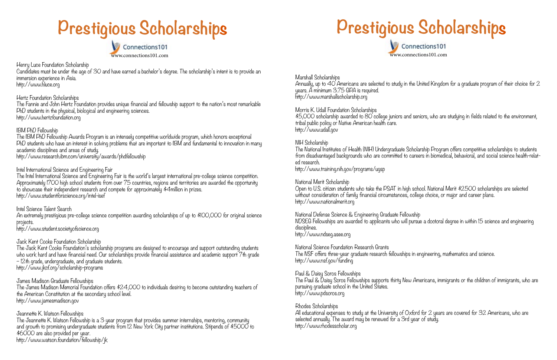Henry Luce Foundation Scholarship

Candidates must be under the age of 30 and have earned a bachelor's degree. The scholarship's intent is to provide an immersion experience in Asia. http://www.hluce.org

#### Hertz Foundation Scholarships

The Fannie and John Hertz Foundation provides unique financial and fellowship support to the nation's most remarkable PhD students in the physical, biological and engineering sciences. http://www.hertzfoundation.org

### IBM PhD Fellowship

The IBM PhD Fellowship Awards Program is an intensely competitive worldwide program, which honors exceptional PhD students who have an interest in solving problems that are important to IBM and fundamental to innovation in many academic disciplines and areas of study. http://www.research.ibm.com/university/awards/phdfellowship

Intel International Science and Engineering Fair The Intel International Science and Engineering Fair is the world's largest international pre-college science competition. Approximately 1700 high school students from over 75 countries, regions and territories are awarded the opportunity to showcase their independent research and compete for approximately \$4million in prizes. http://www.studentforscience.org/intel-isef

Intel Science Talent Search

An extremely prestigious pre-college science competition awarding scholarships of up to \$100,000 for original science projects.

http://www.student.societyofscience.org

### Jack Kent Cooke Foundation Scholarship

The Jack Kent Cooke Foundation's scholarship programs are designed to encourage and support outstanding students who work hard and have financial need. Our scholarships provide financial assistance and academic support 7th grade – 12th grade, undergraduate, and graduate students. http://www.jkcf.org/scholarship-programs

### James Madison Graduate Fellowships

The James Madison Memorial Foundation offers \$24,000 to individuals desiring to become outstanding teachers of the American Constitution at the secondary school level. http://www.jamesmadison.gov

### Jeannette K. Watson Fellowships

All educational expenses to study at the University of Oxford for 2 years are covered for 32 Americans, who are selected annually. The award may be renewed for a 3rd year of study. http://www.rhodesscholar.org

The Jeannette K. Watson Fellowship is a 3 year program that provides summer internships, mentoring, community and growth to promising undergraduate students from 12 New York City partner institutions. Stipends of \$5000 to \$6000 are also provided per year. http://www.watson.foundation/fellowship/jk

# **Prestigious Scholarships**



Marshall Scholarships Annually, up to 40 Americans are selected to study in the United Kingdom for a graduate program of their choice for 2 years. A minimum 3.75 GPA is required. http://www.marshallscholarship.org

Morris K. Udall Foundation Scholarships \$5,000 scholarship awarded to 80 college juniors and seniors, who are studying in fields related to the environment, tribal public policy or Native American health care. http://www.udall.gov

NIH Scholarship

The National Institutes of Health (NIH) Undergraduate Scholarship Program offers competitive scholarships to students from disadvantaged backgrounds who are committed to careers in biomedical, behavioral, and social science health-related research. http://www.training.nih.gov/programs/ugsp

National Merit Scholarship Open to U.S. citizen students who take the PSAT in high school. National Merit \$2500 scholarships are selected without consideration of family financial circumstances, college choice, or major and career plans. http://www.nationalmerit.org

### **Prestigious Scholarship s s**Connections101 www.connections101.com

National Defense Science & Engineering Graduate Fellowship NDSEG Fellowships are awarded to applicants who will pursue a doctoral degree in within 15 science and engineering disciplines. http://www.ndseg.asee.org

National Science Foundation Research Grants The NSF offers three-year graduate research fellowships in engineering, mathematics and science. http://www.nsf.gov/funding

Paul & Daisy Soros Fellowships The Paul & Daisy Soros Fellowships supports thirty New Americans, immigrants or the children of immigrants, who are pursuing graduate school in the United States. http://www.pdsoros.org

#### Rhodes Scholarships